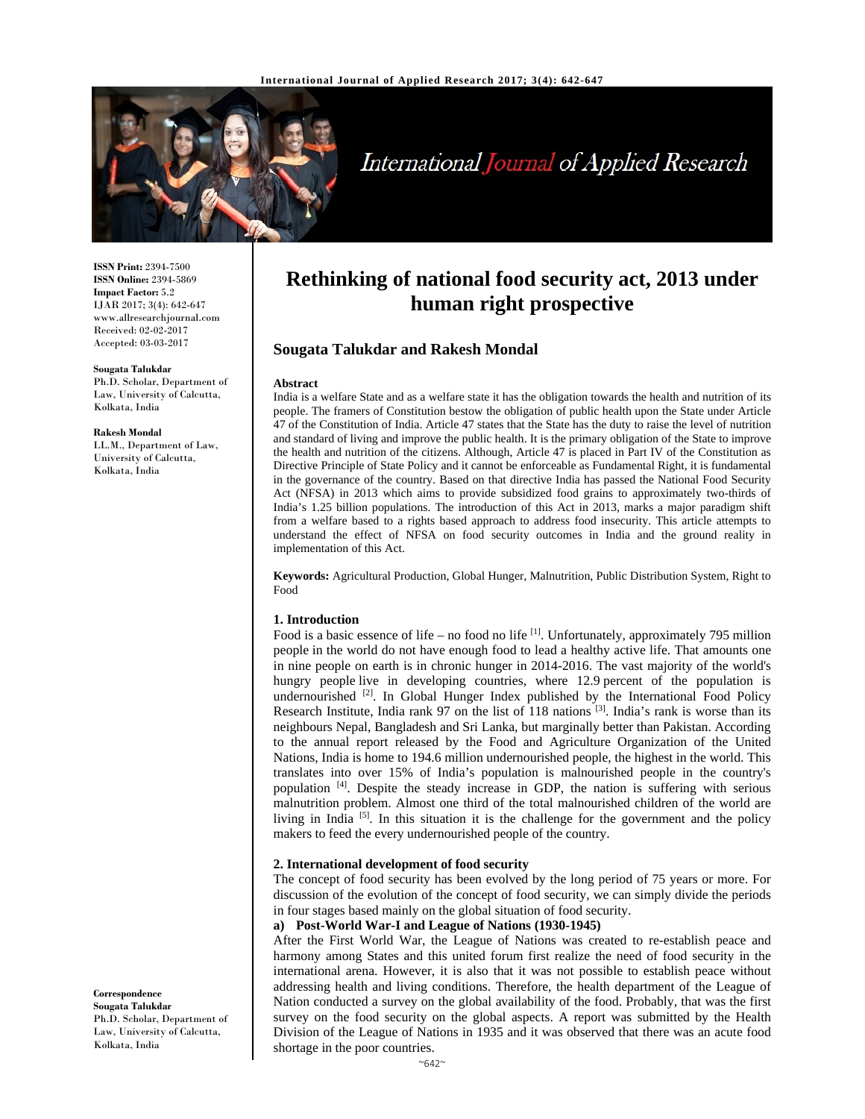

# International Journal of Applied Research

**ISSN Print:** 2394-7500 **ISSN Online:** 2394-5869 **Impact Factor:** 5.2 IJAR 2017; 3(4): 642-647 www.allresearchjournal.com Received: 02-02-2017 Accepted: 03-03-2017

#### **Sougata Talukdar**

Ph.D. Scholar, Department of Law, University of Calcutta, Kolkata, India

**Rakesh Mondal** 

LL.M., Department of Law, University of Calcutta, Kolkata, India

# **Rethinking of national food security act, 2013 under human right prospective**

# **Sougata Talukdar and Rakesh Mondal**

#### **Abstract**

India is a welfare State and as a welfare state it has the obligation towards the health and nutrition of its people. The framers of Constitution bestow the obligation of public health upon the State under Article 47 of the Constitution of India. Article 47 states that the State has the duty to raise the level of nutrition and standard of living and improve the public health. It is the primary obligation of the State to improve the health and nutrition of the citizens. Although, Article 47 is placed in Part IV of the Constitution as Directive Principle of State Policy and it cannot be enforceable as Fundamental Right, it is fundamental in the governance of the country. Based on that directive India has passed the National Food Security Act (NFSA) in 2013 which aims to provide subsidized food grains to approximately two-thirds of India's 1.25 billion populations. The introduction of this Act in 2013, marks a major paradigm shift from a welfare based to a rights based approach to address food insecurity. This article attempts to understand the effect of NFSA on food security outcomes in India and the ground reality in implementation of this Act.

**Keywords:** Agricultural Production, Global Hunger, Malnutrition, Public Distribution System, Right to Food

#### **1. Introduction**

Food is a basic essence of life – no food no life  $^{[1]}$ . Unfortunately, approximately 795 million people in the world do not have enough food to lead a healthy active life. That amounts one in nine people on earth is in chronic hunger in 2014-2016. The vast majority of the world's hungry people live in developing countries, where 12.9 percent of the population is undernourished  $[2]$ . In Global Hunger Index published by the International Food Policy Research Institute, India rank 97 on the list of 118 nations  $^{[3]}$ . India's rank is worse than its neighbours Nepal, Bangladesh and Sri Lanka, but marginally better than Pakistan. According to the annual report released by the Food and Agriculture Organization of the United Nations, India is home to 194.6 million undernourished people, the highest in the world. This translates into over 15% of India's population is malnourished people in the country's population [4]. Despite the steady increase in GDP, the nation is suffering with serious malnutrition problem. Almost one third of the total malnourished children of the world are living in India  $[5]$ . In this situation it is the challenge for the government and the policy makers to feed the every undernourished people of the country.

#### **2. International development of food security**

The concept of food security has been evolved by the long period of 75 years or more. For discussion of the evolution of the concept of food security, we can simply divide the periods in four stages based mainly on the global situation of food security.

#### **a) Post-World War-I and League of Nations (1930-1945)**

After the First World War, the League of Nations was created to re-establish peace and harmony among States and this united forum first realize the need of food security in the international arena. However, it is also that it was not possible to establish peace without addressing health and living conditions. Therefore, the health department of the League of Nation conducted a survey on the global availability of the food. Probably, that was the first survey on the food security on the global aspects. A report was submitted by the Health Division of the League of Nations in 1935 and it was observed that there was an acute food shortage in the poor countries.

**Correspondence Sougata Talukdar**  Ph.D. Scholar, Department of Law, University of Calcutta, Kolkata, India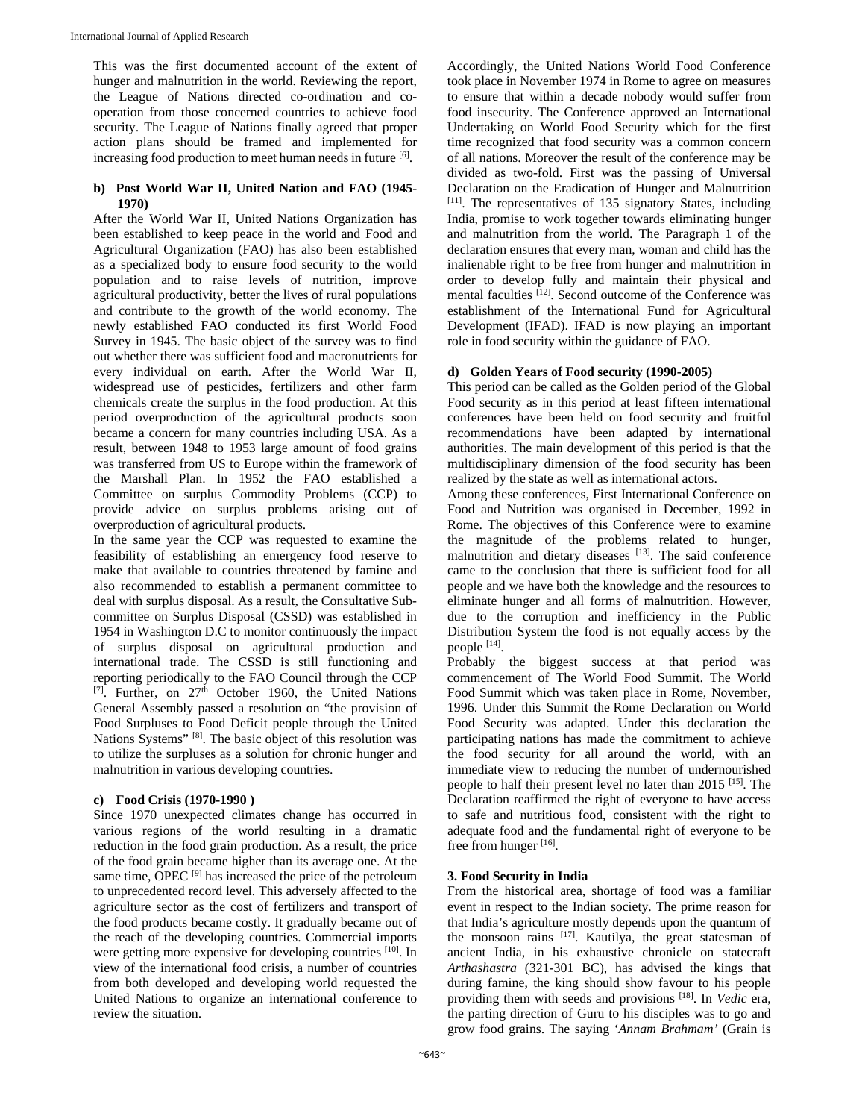This was the first documented account of the extent of hunger and malnutrition in the world. Reviewing the report, the League of Nations directed co-ordination and cooperation from those concerned countries to achieve food security. The League of Nations finally agreed that proper action plans should be framed and implemented for increasing food production to meet human needs in future <sup>[6]</sup>.

### **b) Post World War II, United Nation and FAO (1945- 1970)**

After the World War II, United Nations Organization has been established to keep peace in the world and Food and Agricultural Organization (FAO) has also been established as a specialized body to ensure food security to the world population and to raise levels of nutrition, improve agricultural productivity, better the lives of rural populations and contribute to the growth of the world economy. The newly established FAO conducted its first World Food Survey in 1945. The basic object of the survey was to find out whether there was sufficient food and macronutrients for every individual on earth. After the World War II, widespread use of pesticides, fertilizers and other farm chemicals create the surplus in the food production. At this period overproduction of the agricultural products soon became a concern for many countries including USA. As a result, between 1948 to 1953 large amount of food grains was transferred from US to Europe within the framework of the Marshall Plan. In 1952 the FAO established a Committee on surplus Commodity Problems (CCP) to provide advice on surplus problems arising out of overproduction of agricultural products.

In the same year the CCP was requested to examine the feasibility of establishing an emergency food reserve to make that available to countries threatened by famine and also recommended to establish a permanent committee to deal with surplus disposal. As a result, the Consultative Subcommittee on Surplus Disposal (CSSD) was established in 1954 in Washington D.C to monitor continuously the impact of surplus disposal on agricultural production and international trade. The CSSD is still functioning and reporting periodically to the FAO Council through the CCP [7]. Further, on  $27<sup>th</sup>$  October 1960, the United Nations General Assembly passed a resolution on "the provision of Food Surpluses to Food Deficit people through the United Nations Systems" [8]. The basic object of this resolution was to utilize the surpluses as a solution for chronic hunger and malnutrition in various developing countries.

#### **c) Food Crisis (1970-1990 )**

Since 1970 unexpected climates change has occurred in various regions of the world resulting in a dramatic reduction in the food grain production. As a result, the price of the food grain became higher than its average one. At the same time, OPEC  $[9]$  has increased the price of the petroleum to unprecedented record level. This adversely affected to the agriculture sector as the cost of fertilizers and transport of the food products became costly. It gradually became out of the reach of the developing countries. Commercial imports were getting more expensive for developing countries [10]. In view of the international food crisis, a number of countries from both developed and developing world requested the United Nations to organize an international conference to review the situation.

Accordingly, the United Nations World Food Conference took place in November 1974 in Rome to agree on measures to ensure that within a decade nobody would suffer from food insecurity. The Conference approved an International Undertaking on World Food Security which for the first time recognized that food security was a common concern of all nations. Moreover the result of the conference may be divided as two-fold. First was the passing of Universal Declaration on the Eradication of Hunger and Malnutrition [11]. The representatives of 135 signatory States, including India, promise to work together towards eliminating hunger and malnutrition from the world. The Paragraph 1 of the declaration ensures that every man, woman and child has the inalienable right to be free from hunger and malnutrition in order to develop fully and maintain their physical and mental faculties [12]. Second outcome of the Conference was establishment of the International Fund for Agricultural Development (IFAD). IFAD is now playing an important role in food security within the guidance of FAO.

# **d) Golden Years of Food security (1990-2005)**

This period can be called as the Golden period of the Global Food security as in this period at least fifteen international conferences have been held on food security and fruitful recommendations have been adapted by international authorities. The main development of this period is that the multidisciplinary dimension of the food security has been realized by the state as well as international actors.

Among these conferences, First International Conference on Food and Nutrition was organised in December, 1992 in Rome. The objectives of this Conference were to examine the magnitude of the problems related to hunger, malnutrition and dietary diseases [13]. The said conference came to the conclusion that there is sufficient food for all people and we have both the knowledge and the resources to eliminate hunger and all forms of malnutrition. However, due to the corruption and inefficiency in the Public Distribution System the food is not equally access by the people [14].

Probably the biggest success at that period was commencement of The World Food Summit. The World Food Summit which was taken place in Rome, November, 1996. Under this Summit the Rome Declaration on World Food Security was adapted. Under this declaration the participating nations has made the commitment to achieve the food security for all around the world, with an immediate view to reducing the number of undernourished people to half their present level no later than 2015 [15]. The Declaration reaffirmed the right of everyone to have access to safe and nutritious food, consistent with the right to adequate food and the fundamental right of everyone to be free from hunger [16].

# **3. Food Security in India**

From the historical area, shortage of food was a familiar event in respect to the Indian society. The prime reason for that India's agriculture mostly depends upon the quantum of the monsoon rains [17]. Kautilya, the great statesman of ancient India, in his exhaustive chronicle on statecraft *Arthashastra* (321-301 BC), has advised the kings that during famine, the king should show favour to his people providing them with seeds and provisions [18]. In *Vedic* era, the parting direction of Guru to his disciples was to go and grow food grains. The saying '*Annam Brahmam'* (Grain is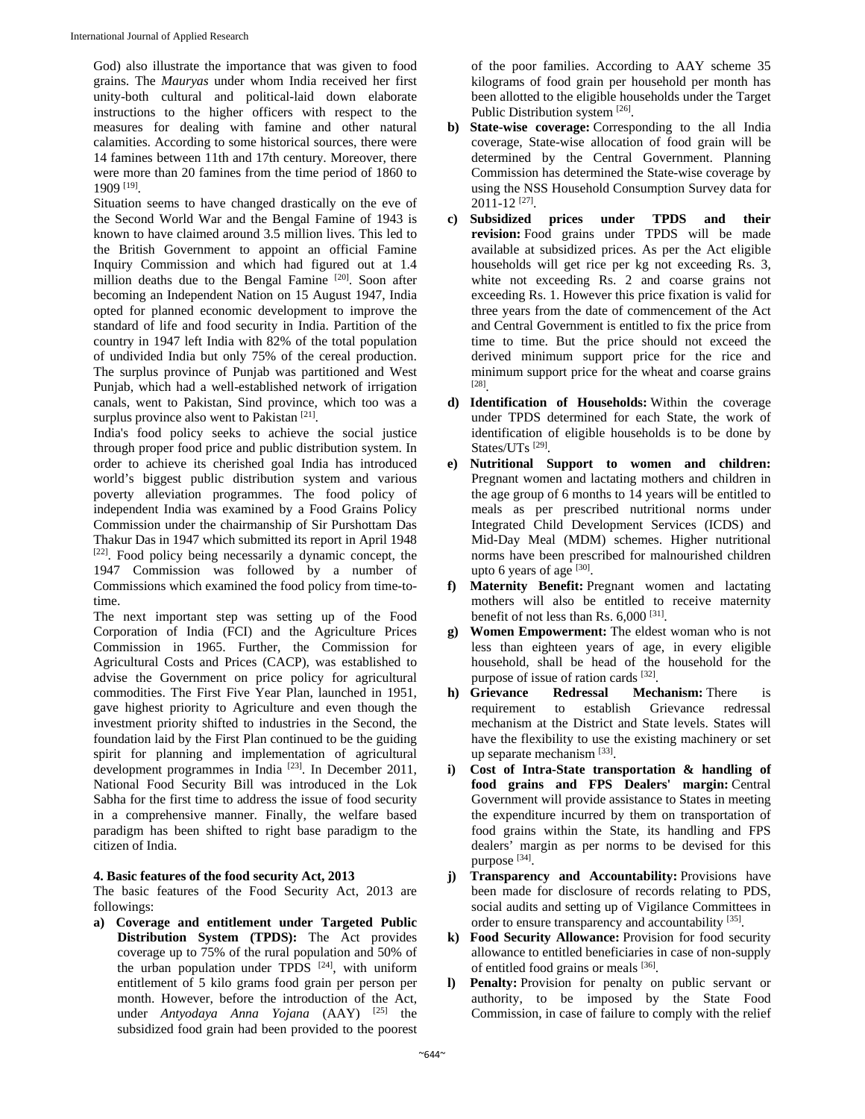God) also illustrate the importance that was given to food grains. The *Mauryas* under whom India received her first unity-both cultural and political-laid down elaborate instructions to the higher officers with respect to the measures for dealing with famine and other natural calamities. According to some historical sources, there were 14 famines between 11th and 17th century. Moreover, there were more than 20 famines from the time period of 1860 to 1909 [19].

Situation seems to have changed drastically on the eve of the Second World War and the Bengal Famine of 1943 is known to have claimed around 3.5 million lives. This led to the British Government to appoint an official Famine Inquiry Commission and which had figured out at 1.4 million deaths due to the Bengal Famine [20]. Soon after becoming an Independent Nation on 15 August 1947, India opted for planned economic development to improve the standard of life and food security in India. Partition of the country in 1947 left India with 82% of the total population of undivided India but only 75% of the cereal production. The surplus province of Punjab was partitioned and West Punjab, which had a well-established network of irrigation canals, went to Pakistan, Sind province, which too was a surplus province also went to Pakistan [21].

India's food policy seeks to achieve the social justice through proper food price and public distribution system. In order to achieve its cherished goal India has introduced world's biggest public distribution system and various poverty alleviation programmes. The food policy of independent India was examined by a Food Grains Policy Commission under the chairmanship of Sir Purshottam Das Thakur Das in 1947 which submitted its report in April 1948 [22]. Food policy being necessarily a dynamic concept, the 1947 Commission was followed by a number of Commissions which examined the food policy from time-totime.

The next important step was setting up of the Food Corporation of India (FCI) and the Agriculture Prices Commission in 1965. Further, the Commission for Agricultural Costs and Prices (CACP), was established to advise the Government on price policy for agricultural commodities. The First Five Year Plan, launched in 1951, gave highest priority to Agriculture and even though the investment priority shifted to industries in the Second, the foundation laid by the First Plan continued to be the guiding spirit for planning and implementation of agricultural development programmes in India<sup>[23]</sup>. In December 2011, National Food Security Bill was introduced in the Lok Sabha for the first time to address the issue of food security in a comprehensive manner. Finally, the welfare based paradigm has been shifted to right base paradigm to the citizen of India.

#### **4. Basic features of the food security Act, 2013**

The basic features of the Food Security Act, 2013 are followings:

**a) Coverage and entitlement under Targeted Public Distribution System (TPDS):** The Act provides coverage up to 75% of the rural population and 50% of the urban population under TPDS  $[24]$ , with uniform entitlement of 5 kilo grams food grain per person per month. However, before the introduction of the Act, under *Antyodaya Anna Yojana* (AAY) [25] the subsidized food grain had been provided to the poorest

of the poor families. According to AAY scheme 35 kilograms of food grain per household per month has been allotted to the eligible households under the Target Public Distribution system [26].

- **b) State-wise coverage:** Corresponding to the all India coverage, State-wise allocation of food grain will be determined by the Central Government. Planning Commission has determined the State-wise coverage by using the NSS Household Consumption Survey data for 2011-12 [27].
- **c) Subsidized prices under TPDS and their revision:** Food grains under TPDS will be made available at subsidized prices. As per the Act eligible households will get rice per kg not exceeding Rs. 3, white not exceeding Rs. 2 and coarse grains not exceeding Rs. 1. However this price fixation is valid for three years from the date of commencement of the Act and Central Government is entitled to fix the price from time to time. But the price should not exceed the derived minimum support price for the rice and minimum support price for the wheat and coarse grains [28].
- **d) Identification of Households:** Within the coverage under TPDS determined for each State, the work of identification of eligible households is to be done by States/UTs<sup>[29]</sup>.
- **e) Nutritional Support to women and children:** Pregnant women and lactating mothers and children in the age group of 6 months to 14 years will be entitled to meals as per prescribed nutritional norms under Integrated Child Development Services (ICDS) and Mid-Day Meal (MDM) schemes. Higher nutritional norms have been prescribed for malnourished children upto 6 years of age  $[30]$ .
- **f) Maternity Benefit:** Pregnant women and lactating mothers will also be entitled to receive maternity benefit of not less than Rs. 6,000<sup>[31]</sup>.
- **g) Women Empowerment:** The eldest woman who is not less than eighteen years of age, in every eligible household, shall be head of the household for the purpose of issue of ration cards [32].
- **h) Grievance Redressal Mechanism:** There is requirement to establish Grievance redressal mechanism at the District and State levels. States will have the flexibility to use the existing machinery or set up separate mechanism [33].
- **i) Cost of Intra-State transportation & handling of food grains and FPS Dealers' margin:** Central Government will provide assistance to States in meeting the expenditure incurred by them on transportation of food grains within the State, its handling and FPS dealers' margin as per norms to be devised for this purpose [34].
- **j) Transparency and Accountability:** Provisions have been made for disclosure of records relating to PDS, social audits and setting up of Vigilance Committees in order to ensure transparency and accountability [35].
- **k) Food Security Allowance:** Provision for food security allowance to entitled beneficiaries in case of non-supply of entitled food grains or meals [36].
- **l) Penalty:** Provision for penalty on public servant or authority, to be imposed by the State Food Commission, in case of failure to comply with the relief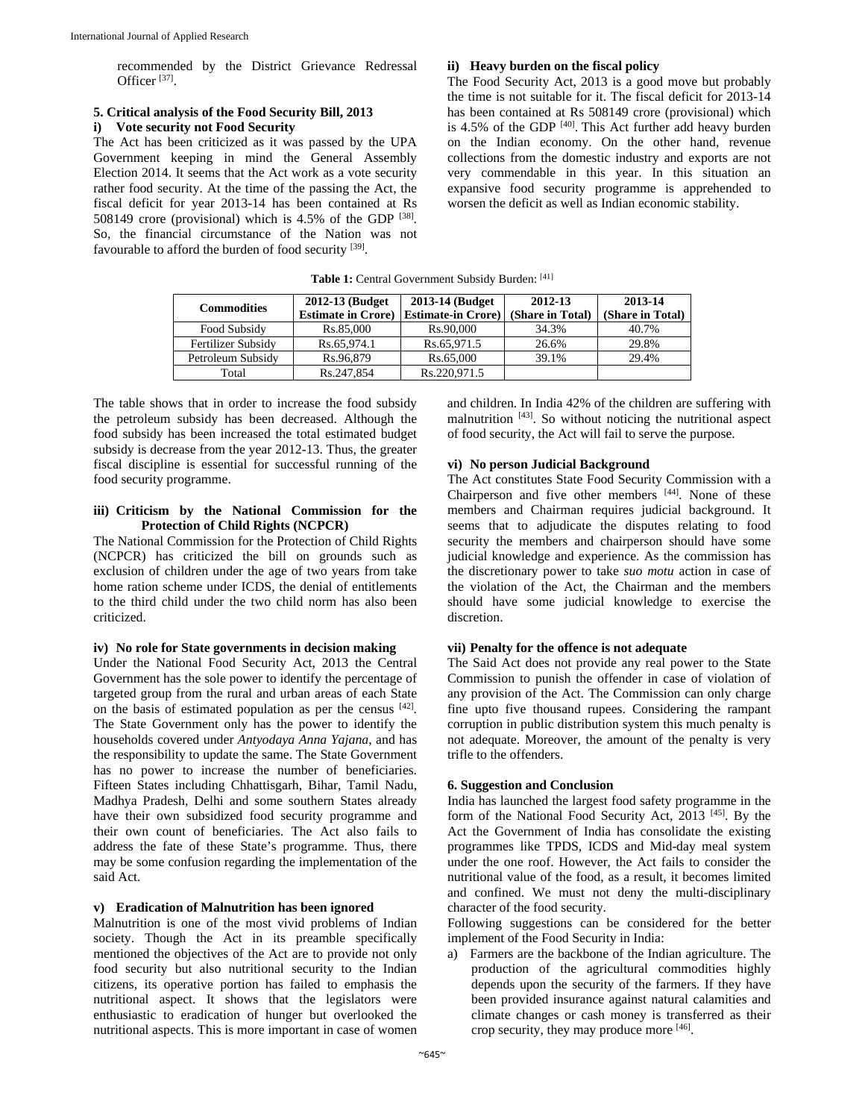recommended by the District Grievance Redressal Officer [37].

# **5. Critical analysis of the Food Security Bill, 2013**

# **i) Vote security not Food Security**

The Act has been criticized as it was passed by the UPA Government keeping in mind the General Assembly Election 2014. It seems that the Act work as a vote security rather food security. At the time of the passing the Act, the fiscal deficit for year 2013-14 has been contained at Rs 508149 crore (provisional) which is 4.5% of the GDP [38]. So, the financial circumstance of the Nation was not favourable to afford the burden of food security [39].

#### **ii) Heavy burden on the fiscal policy**

The Food Security Act, 2013 is a good move but probably the time is not suitable for it. The fiscal deficit for 2013-14 has been contained at Rs 508149 crore (provisional) which is 4.5% of the GDP [40]. This Act further add heavy burden on the Indian economy. On the other hand, revenue collections from the domestic industry and exports are not very commendable in this year. In this situation an expansive food security programme is apprehended to worsen the deficit as well as Indian economic stability.

Table 1: Central Government Subsidy Burden: [41]

| <b>Commodities</b> | 2012-13 (Budget)          | 2013-14 (Budget          | 2012-13          | 2013-14          |
|--------------------|---------------------------|--------------------------|------------------|------------------|
|                    | <b>Estimate in Crore)</b> | <b>Estimate-in Crore</b> | (Share in Total) | (Share in Total) |
| Food Subsidy       | Rs.85,000                 | Rs.90,000                | 34.3%            | 40.7%            |
| Fertilizer Subsidy | Rs.65.974.1               | Rs.65.971.5              | 26.6%            | 29.8%            |
| Petroleum Subsidy  | Rs.96.879                 | Rs.65,000                | 39.1%            | 29.4%            |
| Total              | Rs.247,854                | Rs.220.971.5             |                  |                  |

The table shows that in order to increase the food subsidy the petroleum subsidy has been decreased. Although the food subsidy has been increased the total estimated budget subsidy is decrease from the year 2012-13. Thus, the greater fiscal discipline is essential for successful running of the food security programme.

#### **iii) Criticism by the National Commission for the Protection of Child Rights (NCPCR)**

The National Commission for the Protection of Child Rights (NCPCR) has criticized the bill on grounds such as exclusion of children under the age of two years from take home ration scheme under ICDS, the denial of entitlements to the third child under the two child norm has also been criticized.

#### **iv) No role for State governments in decision making**

Under the National Food Security Act, 2013 the Central Government has the sole power to identify the percentage of targeted group from the rural and urban areas of each State on the basis of estimated population as per the census [42]. The State Government only has the power to identify the households covered under *Antyodaya Anna Yajana*, and has the responsibility to update the same. The State Government has no power to increase the number of beneficiaries. Fifteen States including Chhattisgarh, Bihar, Tamil Nadu, Madhya Pradesh, Delhi and some southern States already have their own subsidized food security programme and their own count of beneficiaries. The Act also fails to address the fate of these State's programme. Thus, there may be some confusion regarding the implementation of the said Act.

# **v) Eradication of Malnutrition has been ignored**

Malnutrition is one of the most vivid problems of Indian society. Though the Act in its preamble specifically mentioned the objectives of the Act are to provide not only food security but also nutritional security to the Indian citizens, its operative portion has failed to emphasis the nutritional aspect. It shows that the legislators were enthusiastic to eradication of hunger but overlooked the nutritional aspects. This is more important in case of women and children. In India 42% of the children are suffering with malnutrition [43]. So without noticing the nutritional aspect of food security, the Act will fail to serve the purpose.

#### **vi) No person Judicial Background**

The Act constitutes State Food Security Commission with a Chairperson and five other members  $[44]$ . None of these members and Chairman requires judicial background. It seems that to adjudicate the disputes relating to food security the members and chairperson should have some judicial knowledge and experience. As the commission has the discretionary power to take *suo motu* action in case of the violation of the Act, the Chairman and the members should have some judicial knowledge to exercise the discretion.

#### **vii) Penalty for the offence is not adequate**

The Said Act does not provide any real power to the State Commission to punish the offender in case of violation of any provision of the Act. The Commission can only charge fine upto five thousand rupees. Considering the rampant corruption in public distribution system this much penalty is not adequate. Moreover, the amount of the penalty is very trifle to the offenders.

#### **6. Suggestion and Conclusion**

India has launched the largest food safety programme in the form of the National Food Security Act, 2013 [45]. By the Act the Government of India has consolidate the existing programmes like TPDS, ICDS and Mid-day meal system under the one roof. However, the Act fails to consider the nutritional value of the food, as a result, it becomes limited and confined. We must not deny the multi-disciplinary character of the food security.

Following suggestions can be considered for the better implement of the Food Security in India:

a) Farmers are the backbone of the Indian agriculture. The production of the agricultural commodities highly depends upon the security of the farmers. If they have been provided insurance against natural calamities and climate changes or cash money is transferred as their crop security, they may produce more [46].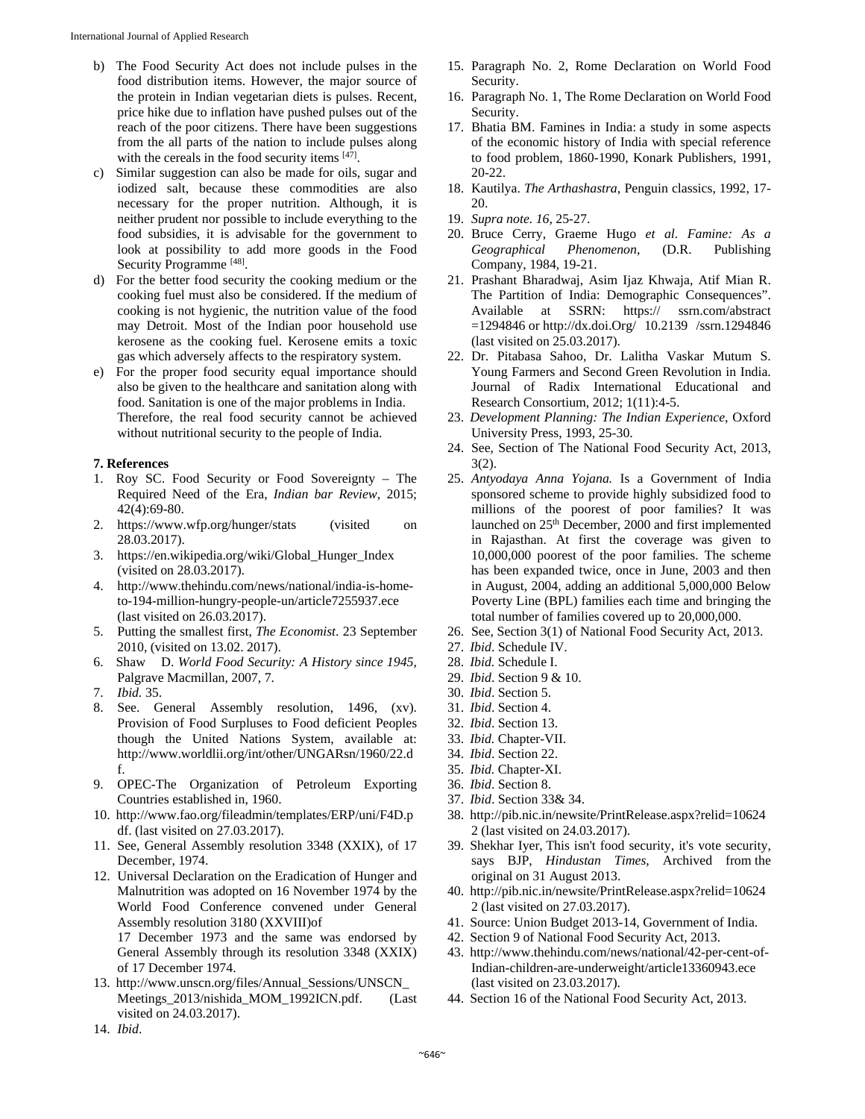- b) The Food Security Act does not include pulses in the food distribution items. However, the major source of the protein in Indian vegetarian diets is pulses. Recent, price hike due to inflation have pushed pulses out of the reach of the poor citizens. There have been suggestions from the all parts of the nation to include pulses along with the cereals in the food security items [47].
- c) Similar suggestion can also be made for oils, sugar and iodized salt, because these commodities are also necessary for the proper nutrition. Although, it is neither prudent nor possible to include everything to the food subsidies, it is advisable for the government to look at possibility to add more goods in the Food Security Programme [48].
- d) For the better food security the cooking medium or the cooking fuel must also be considered. If the medium of cooking is not hygienic, the nutrition value of the food may Detroit. Most of the Indian poor household use kerosene as the cooking fuel. Kerosene emits a toxic gas which adversely affects to the respiratory system.
- e) For the proper food security equal importance should also be given to the healthcare and sanitation along with food. Sanitation is one of the major problems in India. Therefore, the real food security cannot be achieved without nutritional security to the people of India.

#### **7. References**

- 1. Roy SC. Food Security or Food Sovereignty The Required Need of the Era, *Indian bar Review*, 2015; 42(4):69-80.
- 2. https://www.wfp.org/hunger/stats (visited on 28.03.2017).
- 3. https://en.wikipedia.org/wiki/Global\_Hunger\_Index (visited on 28.03.2017).
- 4. http://www.thehindu.com/news/national/india-is-hometo-194-million-hungry-people-un/article7255937.ece (last visited on 26.03.2017).
- 5. Putting the smallest first, *The Economist*. 23 September 2010, (visited on 13.02. 2017).
- 6. Shaw D. *World Food Security: A History since 1945*, Palgrave Macmillan, 2007, 7.
- 7. *Ibid.* 35.
- 8. See. General Assembly resolution, 1496, (xv). Provision of Food Surpluses to Food deficient Peoples though the United Nations System, available at: http://www.worldlii.org/int/other/UNGARsn/1960/22.d f.
- 9. OPEC-The Organization of Petroleum Exporting Countries established in, 1960.
- 10. http://www.fao.org/fileadmin/templates/ERP/uni/F4D.p df. (last visited on 27.03.2017).
- 11. See, General Assembly resolution 3348 (XXIX), of 17 December, 1974.
- 12. Universal Declaration on the Eradication of Hunger and Malnutrition was adopted on 16 November 1974 by the World Food Conference convened under General Assembly resolution 3180 (XXVIII)of

17 December 1973 and the same was endorsed by General Assembly through its resolution 3348 (XXIX) of 17 December 1974.

13. http://www.unscn.org/files/Annual\_Sessions/UNSCN\_ Meetings\_2013/nishida\_MOM\_1992ICN.pdf. (Last visited on 24.03.2017).

- 15. Paragraph No. 2, Rome Declaration on World Food Security.
- 16. Paragraph No. 1, The Rome Declaration on World Food Security.
- 17. Bhatia BM. Famines in India: a study in some aspects of the economic history of India with special reference to food problem, 1860-1990, Konark Publishers, 1991, 20-22.
- 18. Kautilya. *The Arthashastra*, Penguin classics, 1992, 17- 20.
- 19. *Supra note. 16*, 25-27.
- 20. Bruce Cerry, Graeme Hugo *et al. Famine: As a Geographical Phenomenon*, (D.R. Publishing Company, 1984, 19-21.
- 21. Prashant Bharadwaj, Asim Ijaz Khwaja, Atif Mian R. The Partition of India: Demographic Consequences". Available at SSRN: https:// ssrn.com/abstract =1294846 or http://dx.doi.Org/ 10.2139 /ssrn.1294846 (last visited on 25.03.2017).
- 22. Dr. Pitabasa Sahoo, Dr. Lalitha Vaskar Mutum S. Young Farmers and Second Green Revolution in India. Journal of Radix International Educational and Research Consortium, 2012; 1(11):4-5.
- 23. *Development Planning: The Indian Experience*, Oxford University Press, 1993, 25-30.
- 24. See, Section of The National Food Security Act, 2013, 3(2).
- 25. *Antyodaya Anna Yojana.* Is a Government of India sponsored scheme to provide highly subsidized food to millions of the poorest of poor families? It was launched on 25th December, 2000 and first implemented in Rajasthan. At first the coverage was given to 10,000,000 poorest of the poor families. The scheme has been expanded twice, once in June, 2003 and then in August, 2004, adding an additional 5,000,000 Below Poverty Line (BPL) families each time and bringing the total number of families covered up to 20,000,000.
- 26. See, Section 3(1) of National Food Security Act, 2013.
- 27. *Ibid*. Schedule IV.
- 28. *Ibid.* Schedule I.
- 29. *Ibid*. Section 9 & 10.
- 30. *Ibid*. Section 5.
- 31. *Ibid*. Section 4.
- 32. *Ibid*. Section 13.
- 33. *Ibid.* Chapter-VII.
- 34. *Ibid*. Section 22.
- 35. *Ibid.* Chapter-XI.
- 36. *Ibid*. Section 8.
- 37. *Ibid*. Section 33& 34.
- 38. http://pib.nic.in/newsite/PrintRelease.aspx?relid=10624 2 (last visited on 24.03.2017).
- 39. Shekhar Iyer, This isn't food security, it's vote security, says BJP, *Hindustan Times*, Archived from the original on 31 August 2013.
- 40. http://pib.nic.in/newsite/PrintRelease.aspx?relid=10624 2 (last visited on 27.03.2017).
- 41. Source: Union Budget 2013-14, Government of India.
- 42. Section 9 of National Food Security Act, 2013.
- 43. http://www.thehindu.com/news/national/42-per-cent-of-Indian-children-are-underweight/article13360943.ece (last visited on 23.03.2017).
- 44. Section 16 of the National Food Security Act, 2013.

14. *Ibid*.